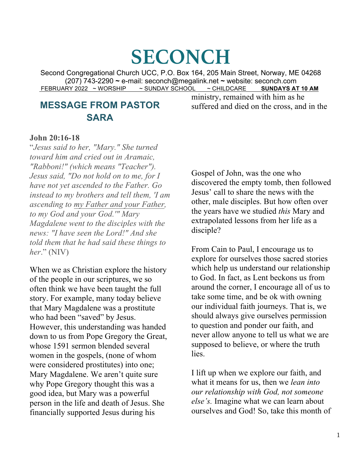# **SECONCH**

Second Congregational Church UCC, P.O. Box 164, 205 Main Street, Norway, ME 04268 (207) 743-2290 **<sup>~</sup>**e-mail: seconch@megalink.net **<sup>~</sup>** website: seconch.com FEBRUARY 2022 ~ WORSHIP ~ SUNDAY SCHOOL ~ CHILDCARE **SUNDAYS AT 10 AM**

## **MESSAGE FROM PASTOR SARA**

ministry, remained with him as he suffered and died on the cross, and in the

#### **John 20:16-18**

"*Jesus said to her, "Mary." She turned toward him and cried out in Aramaic, "Rabboni!" (which means "Teacher"). Jesus said, "Do not hold on to me, for I have not yet ascended to the Father. Go instead to my brothers and tell them, 'I am ascending to my Father and your Father, to my God and your God.'" Mary Magdalene went to the disciples with the news: "I have seen the Lord!" And she told them that he had said these things to her*." (NIV)

When we as Christian explore the history of the people in our scriptures, we so often think we have been taught the full story. For example, many today believe that Mary Magdalene was a prostitute who had been "saved" by Jesus. However, this understanding was handed down to us from Pope Gregory the Great, whose 1591 sermon blended several women in the gospels, (none of whom were considered prostitutes) into one; Mary Magdalene. We aren't quite sure why Pope Gregory thought this was a good idea, but Mary was a powerful person in the life and death of Jesus. She financially supported Jesus during his

Gospel of John, was the one who discovered the empty tomb, then followed Jesus' call to share the news with the other, male disciples. But how often over the years have we studied *this* Mary and extrapolated lessons from her life as a disciple?

From Cain to Paul, I encourage us to explore for ourselves those sacred stories which help us understand our relationship to God. In fact, as Lent beckons us from around the corner, I encourage all of us to take some time, and be ok with owning our individual faith journeys. That is, we should always give ourselves permission to question and ponder our faith, and never allow anyone to tell us what we are supposed to believe, or where the truth lies.

I lift up when we explore our faith, and what it means for us, then we *lean into our relationship with God, not someone else's.* Imagine what we can learn about ourselves and God! So, take this month of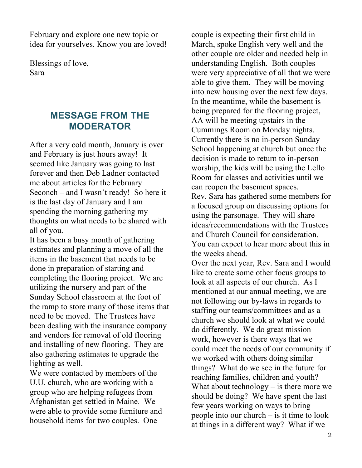February and explore one new topic or idea for yourselves. Know you are loved!

Blessings of love, Sara

## **MESSAGE FROM THE MODERATOR**

After a very cold month, January is over and February is just hours away! It seemed like January was going to last forever and then Deb Ladner contacted me about articles for the February Seconch – and I wasn't ready! So here it is the last day of January and I am spending the morning gathering my thoughts on what needs to be shared with all of you.

It has been a busy month of gathering estimates and planning a move of all the items in the basement that needs to be done in preparation of starting and completing the flooring project. We are utilizing the nursery and part of the Sunday School classroom at the foot of the ramp to store many of those items that need to be moved. The Trustees have been dealing with the insurance company and vendors for removal of old flooring and installing of new flooring. They are also gathering estimates to upgrade the lighting as well.

We were contacted by members of the U.U. church, who are working with a group who are helping refugees from Afghanistan get settled in Maine. We were able to provide some furniture and household items for two couples. One

couple is expecting their first child in March, spoke English very well and the other couple are older and needed help in understanding English. Both couples were very appreciative of all that we were able to give them. They will be moving into new housing over the next few days. In the meantime, while the basement is being prepared for the flooring project, AA will be meeting upstairs in the Cummings Room on Monday nights. Currently there is no in-person Sunday School happening at church but once the decision is made to return to in-person worship, the kids will be using the Lello Room for classes and activities until we can reopen the basement spaces. Rev. Sara has gathered some members for a focused group on discussing options for using the parsonage. They will share ideas/recommendations with the Trustees and Church Council for consideration.

You can expect to hear more about this in the weeks ahead.

Over the next year, Rev. Sara and I would like to create some other focus groups to look at all aspects of our church. As I mentioned at our annual meeting, we are not following our by-laws in regards to staffing our teams/committees and as a church we should look at what we could do differently. We do great mission work, however is there ways that we could meet the needs of our community if we worked with others doing similar things? What do we see in the future for reaching families, children and youth? What about technology  $-$  is there more we should be doing? We have spent the last few years working on ways to bring people into our church – is it time to look at things in a different way? What if we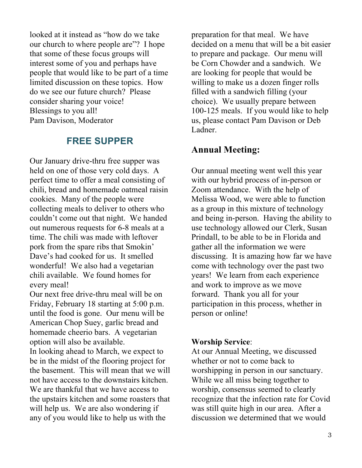looked at it instead as "how do we take our church to where people are"? I hope that some of these focus groups will interest some of you and perhaps have people that would like to be part of a time limited discussion on these topics. How do we see our future church? Please consider sharing your voice! Blessings to you all! Pam Davison, Moderator

## **FREE SUPPER**

Our January drive-thru free supper was held on one of those very cold days. A perfect time to offer a meal consisting of chili, bread and homemade oatmeal raisin cookies. Many of the people were collecting meals to deliver to others who couldn't come out that night. We handed out numerous requests for 6-8 meals at a time. The chili was made with leftover pork from the spare ribs that Smokin' Dave's had cooked for us. It smelled wonderful! We also had a vegetarian chili available. We found homes for every meal!

Our next free drive-thru meal will be on Friday, February 18 starting at 5:00 p.m. until the food is gone. Our menu will be American Chop Suey, garlic bread and homemade cheerio bars. A vegetarian option will also be available.

In looking ahead to March, we expect to be in the midst of the flooring project for the basement. This will mean that we will not have access to the downstairs kitchen. We are thankful that we have access to the upstairs kitchen and some roasters that will help us. We are also wondering if any of you would like to help us with the

preparation for that meal. We have decided on a menu that will be a bit easier to prepare and package. Our menu will be Corn Chowder and a sandwich. We are looking for people that would be willing to make us a dozen finger rolls filled with a sandwich filling (your choice). We usually prepare between 100-125 meals. If you would like to help us, please contact Pam Davison or Deb Ladner.

## **Annual Meeting:**

Our annual meeting went well this year with our hybrid process of in-person or Zoom attendance. With the help of Melissa Wood, we were able to function as a group in this mixture of technology and being in-person. Having the ability to use technology allowed our Clerk, Susan Prindall, to be able to be in Florida and gather all the information we were discussing. It is amazing how far we have come with technology over the past two years! We learn from each experience and work to improve as we move forward. Thank you all for your participation in this process, whether in person or online!

#### **Worship Service**:

At our Annual Meeting, we discussed whether or not to come back to worshipping in person in our sanctuary. While we all miss being together to worship, consensus seemed to clearly recognize that the infection rate for Covid was still quite high in our area. After a discussion we determined that we would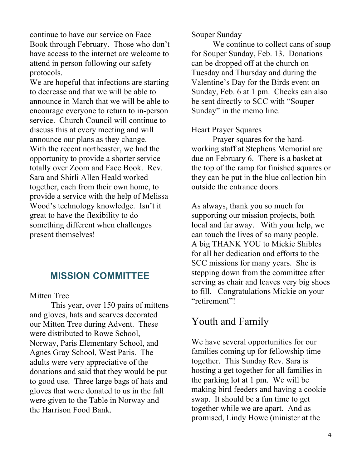continue to have our service on Face Book through February. Those who don't have access to the internet are welcome to attend in person following our safety protocols.

We are hopeful that infections are starting to decrease and that we will be able to announce in March that we will be able to encourage everyone to return to in-person service. Church Council will continue to discuss this at every meeting and will announce our plans as they change. With the recent northeaster, we had the opportunity to provide a shorter service totally over Zoom and Face Book. Rev. Sara and Shirli Allen Heald worked together, each from their own home, to provide a service with the help of Melissa Wood's technology knowledge. Isn't it great to have the flexibility to do something different when challenges present themselves!

## **MISSION COMMITTEE**

#### Mitten Tree

This year, over 150 pairs of mittens and gloves, hats and scarves decorated our Mitten Tree during Advent. These were distributed to Rowe School, Norway, Paris Elementary School, and Agnes Gray School, West Paris. The adults were very appreciative of the donations and said that they would be put to good use. Three large bags of hats and gloves that were donated to us in the fall were given to the Table in Norway and the Harrison Food Bank.

Souper Sunday

We continue to collect cans of soup for Souper Sunday, Feb. 13. Donations can be dropped off at the church on Tuesday and Thursday and during the Valentine's Day for the Birds event on Sunday, Feb. 6 at 1 pm. Checks can also be sent directly to SCC with "Souper Sunday" in the memo line.

#### Heart Prayer Squares

Prayer squares for the hardworking staff at Stephens Memorial are due on February 6. There is a basket at the top of the ramp for finished squares or they can be put in the blue collection bin outside the entrance doors.

As always, thank you so much for supporting our mission projects, both local and far away. With your help, we can touch the lives of so many people. A big THANK YOU to Mickie Shibles for all her dedication and efforts to the SCC missions for many years. She is stepping down from the committee after serving as chair and leaves very big shoes to fill. Congratulations Mickie on your "retirement"!

## Youth and Family

We have several opportunities for our families coming up for fellowship time together. This Sunday Rev. Sara is hosting a get together for all families in the parking lot at 1 pm. We will be making bird feeders and having a cookie swap. It should be a fun time to get together while we are apart. And as promised, Lindy Howe (minister at the